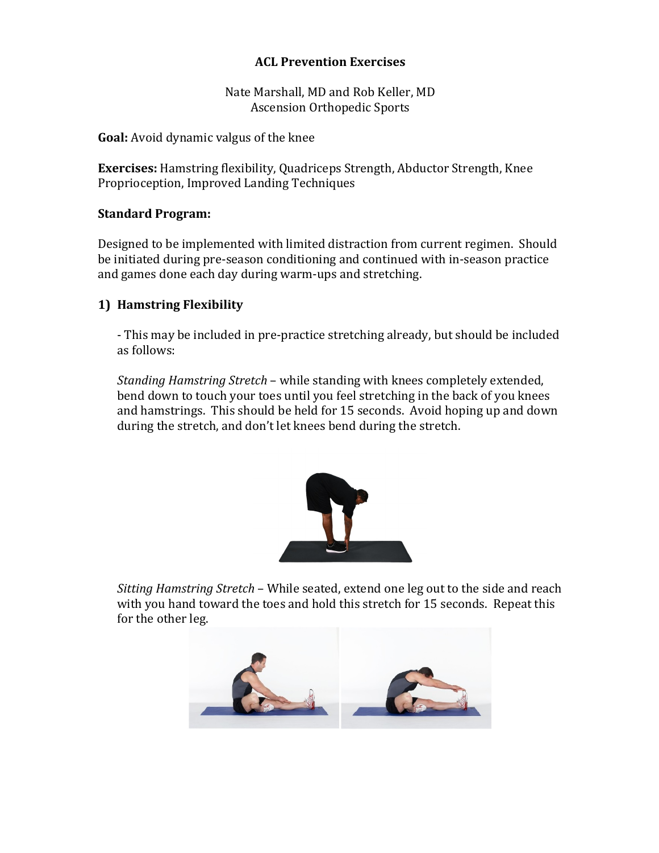### **ACL Prevention Exercises**

Nate Marshall, MD and Rob Keller, MD Ascension Orthopedic Sports

**Goal:** Avoid dynamic valgus of the knee

**Exercises:** Hamstring flexibility, Quadriceps Strength, Abductor Strength, Knee Proprioception, Improved Landing Techniques

#### **Standard Program:**

Designed to be implemented with limited distraction from current regimen. Should be initiated during pre-season conditioning and continued with in-season practice and games done each day during warm-ups and stretching.

### **1) Hamstring Flexibility**

- This may be included in pre-practice stretching already, but should be included as follows:

*Standing Hamstring Stretch* – while standing with knees completely extended, bend down to touch your toes until you feel stretching in the back of you knees and hamstrings. This should be held for 15 seconds. Avoid hoping up and down during the stretch, and don't let knees bend during the stretch.



*Sitting Hamstring Stretch* – While seated, extend one leg out to the side and reach with you hand toward the toes and hold this stretch for 15 seconds. Repeat this for the other leg.

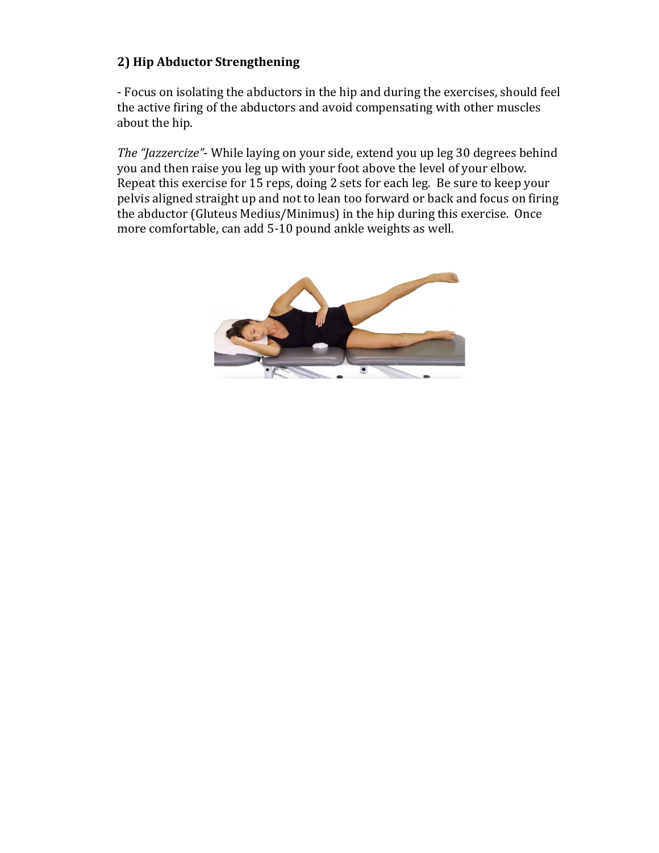# **2) Hip Abductor Strengthening**

- Focus on isolating the abductors in the hip and during the exercises, should feel the active firing of the abductors and avoid compensating with other muscles about the hip.

*The "Jazzercize"*- While laying on your side, extend you up leg 30 degrees behind you and then raise you leg up with your foot above the level of your elbow. Repeat this exercise for 15 reps, doing 2 sets for each leg. Be sure to keep your pelvis aligned straight up and not to lean too forward or back and focus on firing the abductor (Gluteus Medius/Minimus) in the hip during this exercise. Once more comfortable, can add 5-10 pound ankle weights as well.

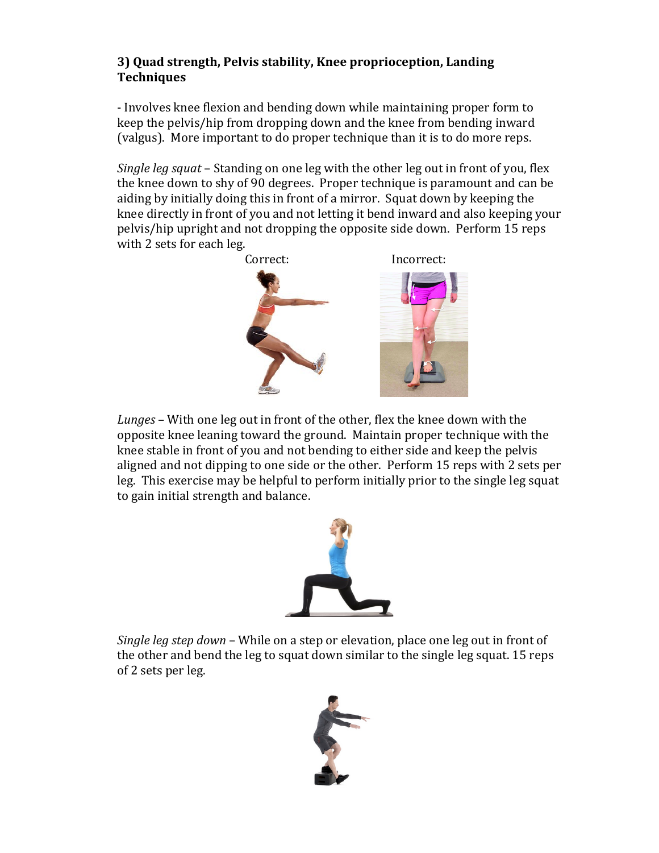# **3) Quad strength, Pelvis stability, Knee proprioception, Landing Techniques**

- Involves knee flexion and bending down while maintaining proper form to keep the pelvis/hip from dropping down and the knee from bending inward (valgus). More important to do proper technique than it is to do more reps.

*Single leg squat* – Standing on one leg with the other leg out in front of you, flex the knee down to shy of 90 degrees. Proper technique is paramount and can be aiding by initially doing this in front of a mirror. Squat down by keeping the knee directly in front of you and not letting it bend inward and also keeping your pelvis/hip upright and not dropping the opposite side down. Perform 15 reps with 2 sets for each leg.



*Lunges* – With one leg out in front of the other, flex the knee down with the opposite knee leaning toward the ground. Maintain proper technique with the knee stable in front of you and not bending to either side and keep the pelvis aligned and not dipping to one side or the other. Perform 15 reps with 2 sets per leg. This exercise may be helpful to perform initially prior to the single leg squat to gain initial strength and balance.



*Single leg step down* – While on a step or elevation, place one leg out in front of the other and bend the leg to squat down similar to the single leg squat. 15 reps of 2 sets per leg.